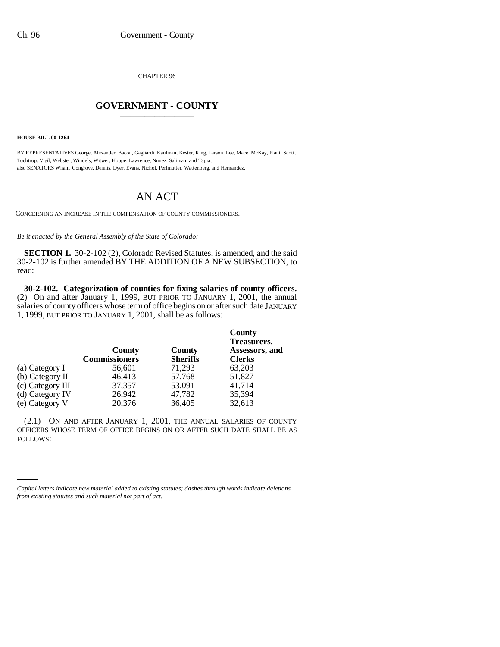CHAPTER 96 \_\_\_\_\_\_\_\_\_\_\_\_\_\_\_

## **GOVERNMENT - COUNTY** \_\_\_\_\_\_\_\_\_\_\_\_\_\_\_

**HOUSE BILL 00-1264** 

BY REPRESENTATIVES George, Alexander, Bacon, Gagliardi, Kaufman, Kester, King, Larson, Lee, Mace, McKay, Plant, Scott, Tochtrop, Vigil, Webster, Windels, Witwer, Hoppe, Lawrence, Nunez, Saliman, and Tapia; also SENATORS Wham, Congrove, Dennis, Dyer, Evans, Nichol, Perlmutter, Wattenberg, and Hernandez.

## AN ACT

CONCERNING AN INCREASE IN THE COMPENSATION OF COUNTY COMMISSIONERS.

*Be it enacted by the General Assembly of the State of Colorado:*

**SECTION 1.** 30-2-102 (2), Colorado Revised Statutes, is amended, and the said 30-2-102 is further amended BY THE ADDITION OF A NEW SUBSECTION, to read:

**30-2-102. Categorization of counties for fixing salaries of county officers.** (2) On and after January 1, 1999, BUT PRIOR TO JANUARY 1, 2001, the annual salaries of county officers whose term of office begins on or after such date JANUARY 1, 1999, BUT PRIOR TO JANUARY 1, 2001, shall be as follows:

| County<br><b>Commissioners</b> | County<br><b>Sheriffs</b> | County<br>Treasurers,<br>Assessors, and<br><b>Clerks</b> |
|--------------------------------|---------------------------|----------------------------------------------------------|
| 56,601                         | 71,293                    | 63,203                                                   |
| 46,413                         | 57,768                    | 51,827                                                   |
| 37,357                         | 53,091                    | 41,714                                                   |
| 26,942                         | 47,782                    | 35,394                                                   |
| 20,376                         | 36,405                    | 32,613                                                   |
|                                |                           |                                                          |

FOLLOWS:(2.1) ON AND AFTER JANUARY 1, 2001, THE ANNUAL SALARIES OF COUNTY OFFICERS WHOSE TERM OF OFFICE BEGINS ON OR AFTER SUCH DATE SHALL BE AS

*Capital letters indicate new material added to existing statutes; dashes through words indicate deletions from existing statutes and such material not part of act.*